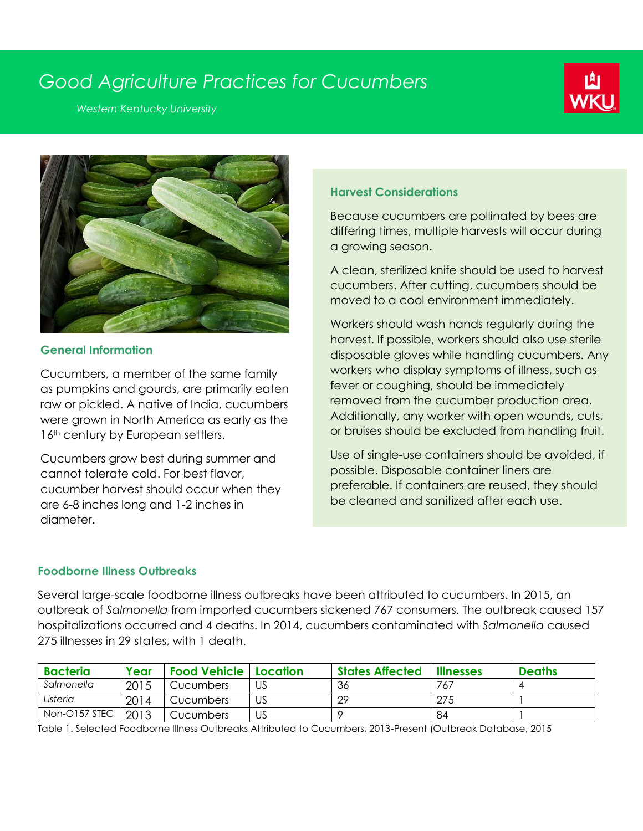# *Good Agriculture Practices for Cucumbers*

*Western Kentucky University*





### **General Information**

Cucumbers, a member of the same family as pumpkins and gourds, are primarily eaten raw or pickled. A native of India, cucumbers were grown in North America as early as the 16<sup>th</sup> century by European settlers.

Cucumbers grow best during summer and cannot tolerate cold. For best flavor, cucumber harvest should occur when they are 6-8 inches long and 1-2 inches in diameter.

# **Harvest Considerations**

Because cucumbers are pollinated by bees are differing times, multiple harvests will occur during a growing season.

A clean, sterilized knife should be used to harvest cucumbers. After cutting, cucumbers should be moved to a cool environment immediately.

Workers should wash hands regularly during the harvest. If possible, workers should also use sterile disposable gloves while handling cucumbers. Any workers who display symptoms of illness, such as fever or coughing, should be immediately removed from the cucumber production area. Additionally, any worker with open wounds, cuts, or bruises should be excluded from handling fruit.

Use of single-use containers should be avoided, if possible. Disposable container liners are preferable. If containers are reused, they should be cleaned and sanitized after each use.

# **Foodborne Illness Outbreaks**

Several large-scale foodborne illness outbreaks have been attributed to cucumbers. In 2015, an outbreak of *Salmonella* from imported cucumbers sickened 767 consumers. The outbreak caused 157 hospitalizations occurred and 4 deaths. In 2014, cucumbers contaminated with *Salmonella* caused 275 illnesses in 29 states, with 1 death.

| <b>Bacteria</b> | Year | <b>Food Vehicle   Location</b> |    | <b>States Affected</b> | <b>Illnesses</b> | <b>Deaths</b> |
|-----------------|------|--------------------------------|----|------------------------|------------------|---------------|
| Salmonella      | 2015 | <b>Cucumbers</b>               | US | -36                    | 767              |               |
| Listeria        | 2014 | Cucumbers                      | US | റ                      | 275              |               |
| Non-O157 STEC   | 2013 | Cucumbers                      | US |                        | 84               |               |

Table 1. Selected Foodborne Illness Outbreaks Attributed to Cucumbers, 2013-Present (Outbreak Database, 2015